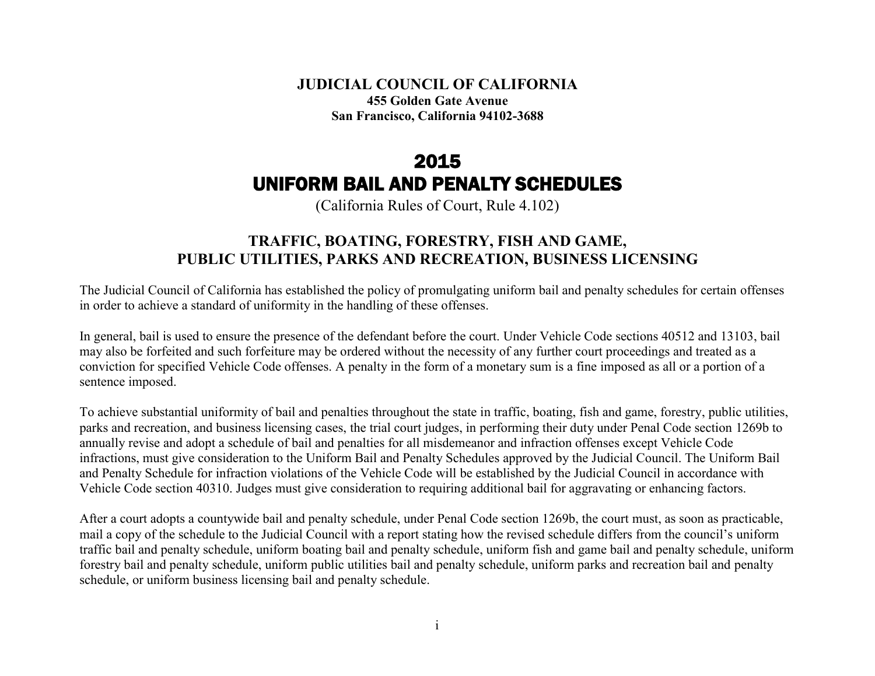**JUDICIAL COUNCIL OF CALIFORNIA 455 Golden Gate Avenue San Francisco, California 94102-3688**

# 2015 UNIFORM BAIL AND PENALTY SCHEDULES

(California Rules of Court, Rule 4.102)

# **TRAFFIC, BOATING, FORESTRY, FISH AND GAME, PUBLIC UTILITIES, PARKS AND RECREATION, BUSINESS LICENSING**

The Judicial Council of California has established the policy of promulgating uniform bail and penalty schedules for certain offenses in order to achieve a standard of uniformity in the handling of these offenses.

In general, bail is used to ensure the presence of the defendant before the court. Under Vehicle Code sections 40512 and 13103, bail may also be forfeited and such forfeiture may be ordered without the necessity of any further court proceedings and treated as a conviction for specified Vehicle Code offenses. A penalty in the form of a monetary sum is a fine imposed as all or a portion of a sentence imposed.

To achieve substantial uniformity of bail and penalties throughout the state in traffic, boating, fish and game, forestry, public utilities, parks and recreation, and business licensing cases, the trial court judges, in performing their duty under Penal Code section 1269b to annually revise and adopt a schedule of bail and penalties for all misdemeanor and infraction offenses except Vehicle Code infractions, must give consideration to the Uniform Bail and Penalty Schedules approved by the Judicial Council. The Uniform Bail and Penalty Schedule for infraction violations of the Vehicle Code will be established by the Judicial Council in accordance with Vehicle Code section 40310. Judges must give consideration to requiring additional bail for aggravating or enhancing factors.

After a court adopts a countywide bail and penalty schedule, under Penal Code section 1269b, the court must, as soon as practicable, mail a copy of the schedule to the Judicial Council with a report stating how the revised schedule differs from the council's uniform traffic bail and penalty schedule, uniform boating bail and penalty schedule, uniform fish and game bail and penalty schedule, uniform forestry bail and penalty schedule, uniform public utilities bail and penalty schedule, uniform parks and recreation bail and penalty schedule, or uniform business licensing bail and penalty schedule.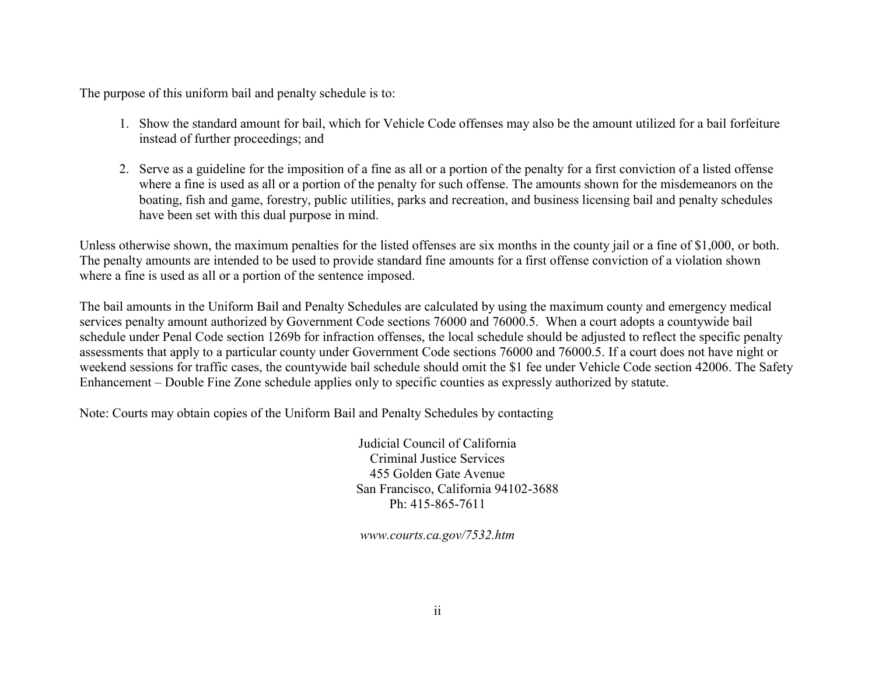The purpose of this uniform bail and penalty schedule is to:

- 1. Show the standard amount for bail, which for Vehicle Code offenses may also be the amount utilized for a bail forfeiture instead of further proceedings; and
- 2. Serve as a guideline for the imposition of a fine as all or a portion of the penalty for a first conviction of a listed offense where a fine is used as all or a portion of the penalty for such offense. The amounts shown for the misdemeanors on the boating, fish and game, forestry, public utilities, parks and recreation, and business licensing bail and penalty schedules have been set with this dual purpose in mind.

Unless otherwise shown, the maximum penalties for the listed offenses are six months in the county jail or a fine of \$1,000, or both. The penalty amounts are intended to be used to provide standard fine amounts for a first offense conviction of a violation shown where a fine is used as all or a portion of the sentence imposed.

The bail amounts in the Uniform Bail and Penalty Schedules are calculated by using the maximum county and emergency medical services penalty amount authorized by Government Code sections 76000 and 76000.5. When a court adopts a countywide bail schedule under Penal Code section 1269b for infraction offenses, the local schedule should be adjusted to reflect the specific penalty assessments that apply to a particular county under Government Code sections 76000 and 76000.5. If a court does not have night or weekend sessions for traffic cases, the countywide bail schedule should omit the \$1 fee under Vehicle Code section 42006. The Safety Enhancement – Double Fine Zone schedule applies only to specific counties as expressly authorized by statute.

Note: Courts may obtain copies of the Uniform Bail and Penalty Schedules by contacting

Judicial Council of California Criminal Justice Services 455 Golden Gate Avenue San Francisco, California 94102-3688 Ph: 415-865-7611

*www.courts.ca.gov/7532.htm*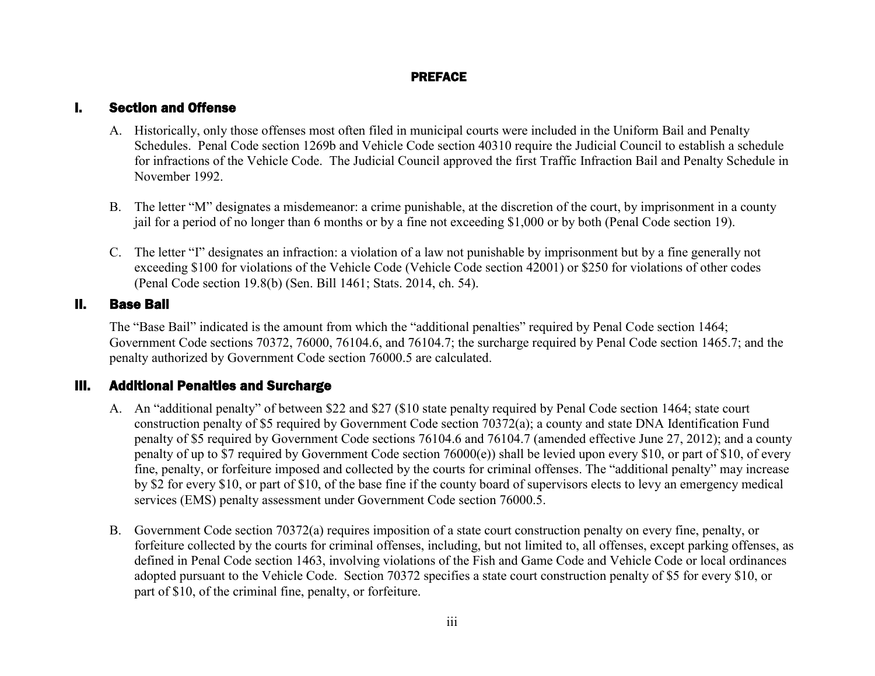## PREFACE

## I. Section and Offense

- A. Historically, only those offenses most often filed in municipal courts were included in the Uniform Bail and Penalty Schedules. Penal Code section 1269b and Vehicle Code section 40310 require the Judicial Council to establish a schedule for infractions of the Vehicle Code. The Judicial Council approved the first Traffic Infraction Bail and Penalty Schedule in November 1992.
- B. The letter "M" designates a misdemeanor: a crime punishable, at the discretion of the court, by imprisonment in a county jail for a period of no longer than 6 months or by a fine not exceeding \$1,000 or by both (Penal Code section 19).
- C. The letter "I" designates an infraction: a violation of a law not punishable by imprisonment but by a fine generally not exceeding \$100 for violations of the Vehicle Code (Vehicle Code section 42001) or \$250 for violations of other codes (Penal Code section 19.8(b) (Sen. Bill 1461; Stats. 2014, ch. 54).

## II. Base Bail

The "Base Bail" indicated is the amount from which the "additional penalties" required by Penal Code section 1464; Government Code sections 70372, 76000, 76104.6, and 76104.7; the surcharge required by Penal Code section 1465.7; and the penalty authorized by Government Code section 76000.5 are calculated.

## III. Additional Penalties and Surcharge

- A. An "additional penalty" of between \$22 and \$27 (\$10 state penalty required by Penal Code section 1464; state court construction penalty of \$5 required by Government Code section 70372(a); a county and state DNA Identification Fund penalty of \$5 required by Government Code sections 76104.6 and 76104.7 (amended effective June 27, 2012); and a county penalty of up to \$7 required by Government Code section 76000(e)) shall be levied upon every \$10, or part of \$10, of every fine, penalty, or forfeiture imposed and collected by the courts for criminal offenses. The "additional penalty" may increase by \$2 for every \$10, or part of \$10, of the base fine if the county board of supervisors elects to levy an emergency medical services (EMS) penalty assessment under Government Code section 76000.5.
- B. Government Code section 70372(a) requires imposition of a state court construction penalty on every fine, penalty, or forfeiture collected by the courts for criminal offenses, including, but not limited to, all offenses, except parking offenses, as defined in Penal Code section 1463, involving violations of the Fish and Game Code and Vehicle Code or local ordinances adopted pursuant to the Vehicle Code. Section 70372 specifies a state court construction penalty of \$5 for every \$10, or part of \$10, of the criminal fine, penalty, or forfeiture.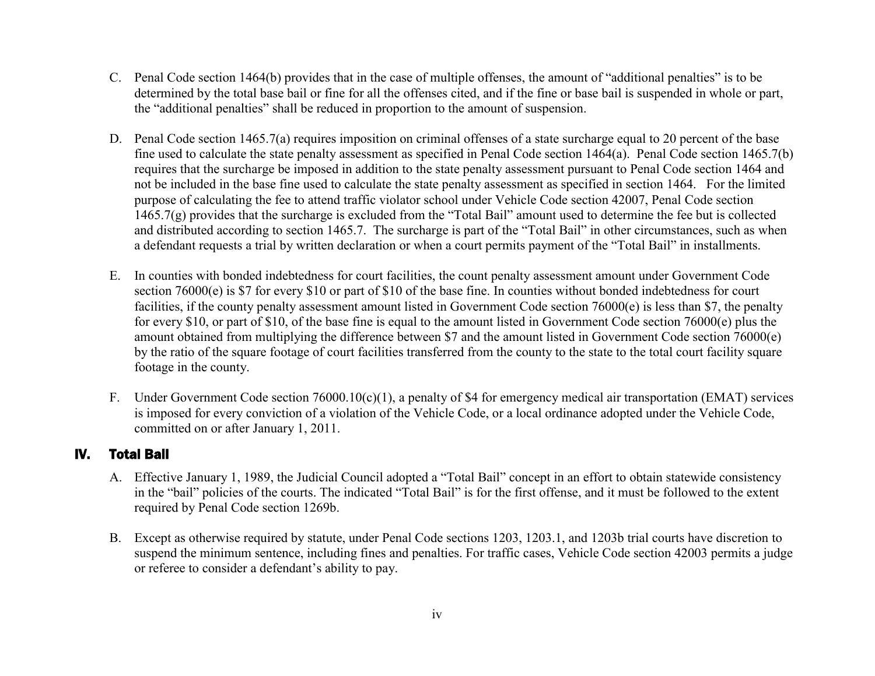- C. Penal Code section 1464(b) provides that in the case of multiple offenses, the amount of "additional penalties" is to be determined by the total base bail or fine for all the offenses cited, and if the fine or base bail is suspended in whole or part, the "additional penalties" shall be reduced in proportion to the amount of suspension.
- D. Penal Code section 1465.7(a) requires imposition on criminal offenses of a state surcharge equal to 20 percent of the base fine used to calculate the state penalty assessment as specified in Penal Code section 1464(a). Penal Code section 1465.7(b) requires that the surcharge be imposed in addition to the state penalty assessment pursuant to Penal Code section 1464 and not be included in the base fine used to calculate the state penalty assessment as specified in section 1464. For the limited purpose of calculating the fee to attend traffic violator school under Vehicle Code section 42007, Penal Code section 1465.7(g) provides that the surcharge is excluded from the "Total Bail" amount used to determine the fee but is collected and distributed according to section 1465.7. The surcharge is part of the "Total Bail" in other circumstances, such as when a defendant requests a trial by written declaration or when a court permits payment of the "Total Bail" in installments.
- E. In counties with bonded indebtedness for court facilities, the count penalty assessment amount under Government Code section 76000(e) is \$7 for every \$10 or part of \$10 of the base fine. In counties without bonded indebtedness for court facilities, if the county penalty assessment amount listed in Government Code section 76000(e) is less than \$7, the penalty for every \$10, or part of \$10, of the base fine is equal to the amount listed in Government Code section 76000(e) plus the amount obtained from multiplying the difference between \$7 and the amount listed in Government Code section 76000(e) by the ratio of the square footage of court facilities transferred from the county to the state to the total court facility square footage in the county.
- F. Under Government Code section 76000.10(c)(1), a penalty of \$4 for emergency medical air transportation (EMAT) services is imposed for every conviction of a violation of the Vehicle Code, or a local ordinance adopted under the Vehicle Code, committed on or after January 1, 2011.

## IV. Total Bail

- A. Effective January 1, 1989, the Judicial Council adopted a "Total Bail" concept in an effort to obtain statewide consistency in the "bail" policies of the courts. The indicated "Total Bail" is for the first offense, and it must be followed to the extent required by Penal Code section 1269b.
- B. Except as otherwise required by statute, under Penal Code sections 1203, 1203.1, and 1203b trial courts have discretion to suspend the minimum sentence, including fines and penalties. For traffic cases, Vehicle Code section 42003 permits a judge or referee to consider a defendant's ability to pay.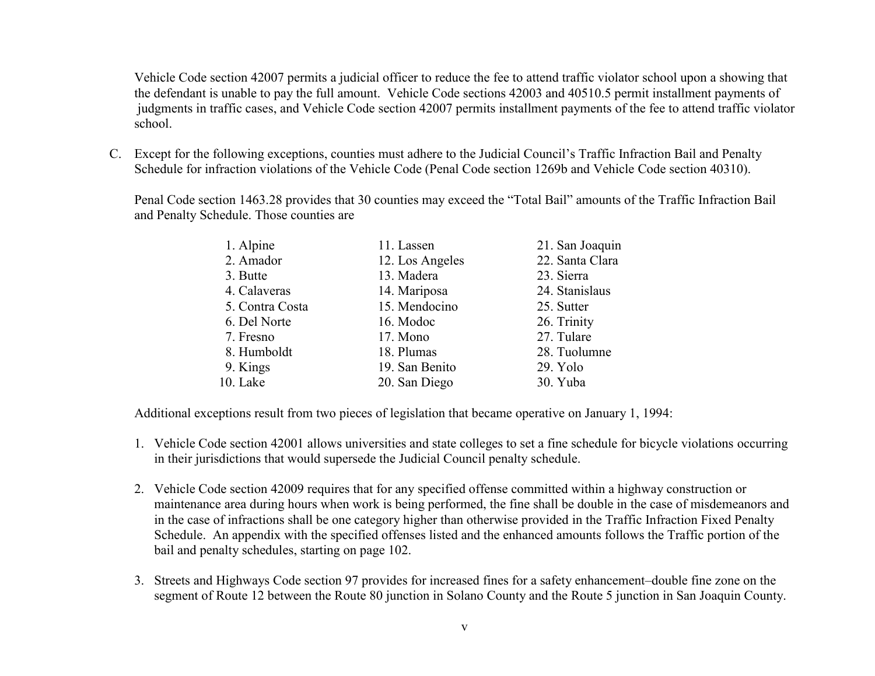Vehicle Code section 42007 permits a judicial officer to reduce the fee to attend traffic violator school upon a showing that the defendant is unable to pay the full amount. Vehicle Code sections 42003 and 40510.5 permit installment payments of judgments in traffic cases, and Vehicle Code section 42007 permits installment payments of the fee to attend traffic violator school.

C. Except for the following exceptions, counties must adhere to the Judicial Council's Traffic Infraction Bail and Penalty Schedule for infraction violations of the Vehicle Code (Penal Code section 1269b and Vehicle Code section 40310).

Penal Code section 1463.28 provides that 30 counties may exceed the "Total Bail" amounts of the Traffic Infraction Bail and Penalty Schedule. Those counties are

| 1. Alpine       | 11. Lassen      | 21. San Joaquin |
|-----------------|-----------------|-----------------|
| 2. Amador       | 12. Los Angeles | 22. Santa Clara |
| 3. Butte        | 13. Madera      | 23. Sierra      |
| 4. Calaveras    | 14. Mariposa    | 24. Stanislaus  |
| 5. Contra Costa | 15. Mendocino   | 25. Sutter      |
| 6. Del Norte    | 16. Modoc       | 26. Trinity     |
| 7. Fresno       | 17. Mono        | 27. Tulare      |
| 8. Humboldt     | 18. Plumas      | 28. Tuolumne    |
| 9. Kings        | 19. San Benito  | 29. Yolo        |
| 10. Lake        | 20. San Diego   | 30. Yuba        |

Additional exceptions result from two pieces of legislation that became operative on January 1, 1994:

- 1. Vehicle Code section 42001 allows universities and state colleges to set a fine schedule for bicycle violations occurring in their jurisdictions that would supersede the Judicial Council penalty schedule.
- 2. Vehicle Code section 42009 requires that for any specified offense committed within a highway construction or maintenance area during hours when work is being performed, the fine shall be double in the case of misdemeanors and in the case of infractions shall be one category higher than otherwise provided in the Traffic Infraction Fixed Penalty Schedule. An appendix with the specified offenses listed and the enhanced amounts follows the Traffic portion of the bail and penalty schedules, starting on page 102.
- 3. Streets and Highways Code section 97 provides for increased fines for a safety enhancement–double fine zone on the segment of Route 12 between the Route 80 junction in Solano County and the Route 5 junction in San Joaquin County.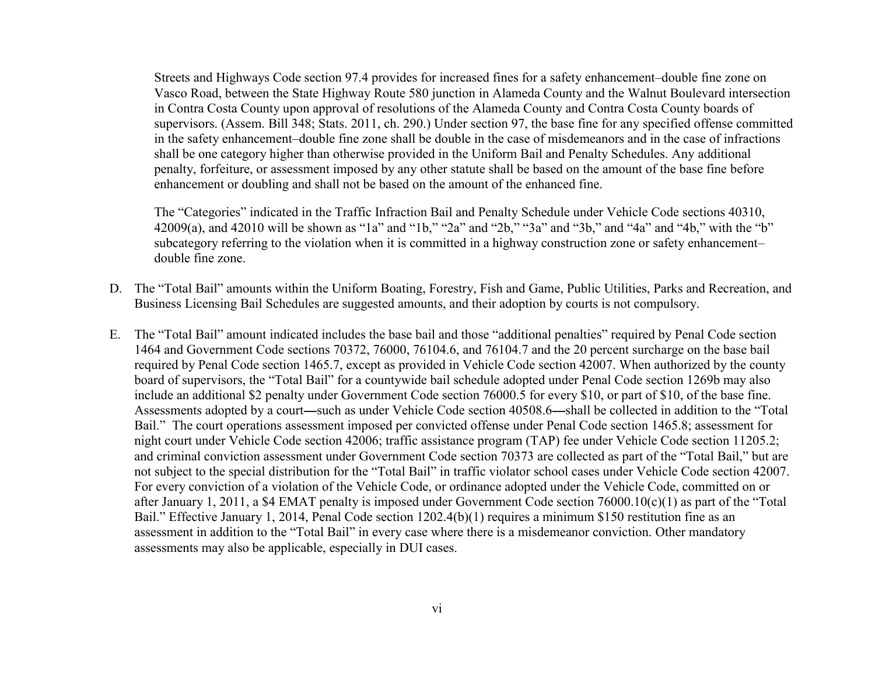Streets and Highways Code section 97.4 provides for increased fines for a safety enhancement–double fine zone on Vasco Road, between the State Highway Route 580 junction in Alameda County and the Walnut Boulevard intersection in Contra Costa County upon approval of resolutions of the Alameda County and Contra Costa County boards of supervisors. (Assem. Bill 348; Stats. 2011, ch. 290.) Under section 97, the base fine for any specified offense committed in the safety enhancement–double fine zone shall be double in the case of misdemeanors and in the case of infractions shall be one category higher than otherwise provided in the Uniform Bail and Penalty Schedules. Any additional penalty, forfeiture, or assessment imposed by any other statute shall be based on the amount of the base fine before enhancement or doubling and shall not be based on the amount of the enhanced fine.

The "Categories" indicated in the Traffic Infraction Bail and Penalty Schedule under Vehicle Code sections 40310, 42009(a), and 42010 will be shown as "1a" and "1b," "2a" and "2b," "3a" and "3b," and "4a" and "4b," with the "b" subcategory referring to the violation when it is committed in a highway construction zone or safety enhancement– double fine zone.

- D. The "Total Bail" amounts within the Uniform Boating, Forestry, Fish and Game, Public Utilities, Parks and Recreation, and Business Licensing Bail Schedules are suggested amounts, and their adoption by courts is not compulsory.
- E. The "Total Bail" amount indicated includes the base bail and those "additional penalties" required by Penal Code section 1464 and Government Code sections 70372, 76000, 76104.6, and 76104.7 and the 20 percent surcharge on the base bail required by Penal Code section 1465.7, except as provided in Vehicle Code section 42007. When authorized by the county board of supervisors, the "Total Bail" for a countywide bail schedule adopted under Penal Code section 1269b may also include an additional \$2 penalty under Government Code section 76000.5 for every \$10, or part of \$10, of the base fine. Assessments adopted by a court—such as under Vehicle Code section 40508.6—shall be collected in addition to the "Total Bail." The court operations assessment imposed per convicted offense under Penal Code section 1465.8; assessment for night court under Vehicle Code section 42006; traffic assistance program (TAP) fee under Vehicle Code section 11205.2; and criminal conviction assessment under Government Code section 70373 are collected as part of the "Total Bail," but are not subject to the special distribution for the "Total Bail" in traffic violator school cases under Vehicle Code section 42007. For every conviction of a violation of the Vehicle Code, or ordinance adopted under the Vehicle Code, committed on or after January 1, 2011, a \$4 EMAT penalty is imposed under Government Code section 76000.10(c)(1) as part of the "Total Bail." Effective January 1, 2014, Penal Code section 1202.4(b)(1) requires a minimum \$150 restitution fine as an assessment in addition to the "Total Bail" in every case where there is a misdemeanor conviction. Other mandatory assessments may also be applicable, especially in DUI cases.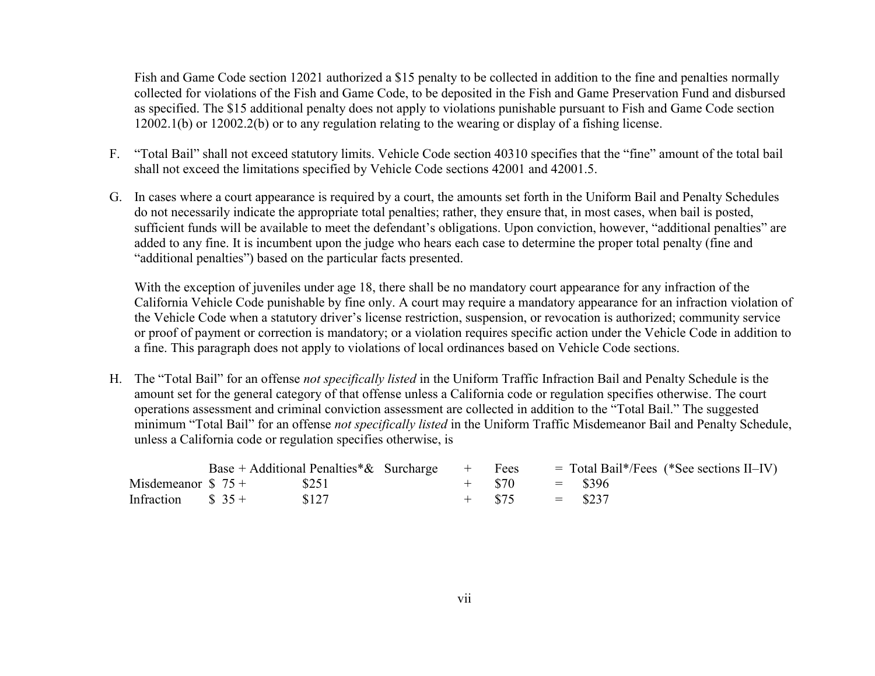Fish and Game Code section 12021 authorized a \$15 penalty to be collected in addition to the fine and penalties normally collected for violations of the Fish and Game Code, to be deposited in the Fish and Game Preservation Fund and disbursed as specified. The \$15 additional penalty does not apply to violations punishable pursuant to Fish and Game Code section 12002.1(b) or 12002.2(b) or to any regulation relating to the wearing or display of a fishing license.

- F. "Total Bail" shall not exceed statutory limits. Vehicle Code section 40310 specifies that the "fine" amount of the total bail shall not exceed the limitations specified by Vehicle Code sections 42001 and 42001.5.
- G. In cases where a court appearance is required by a court, the amounts set forth in the Uniform Bail and Penalty Schedules do not necessarily indicate the appropriate total penalties; rather, they ensure that, in most cases, when bail is posted, sufficient funds will be available to meet the defendant's obligations. Upon conviction, however, "additional penalties" are added to any fine. It is incumbent upon the judge who hears each case to determine the proper total penalty (fine and "additional penalties") based on the particular facts presented.

With the exception of juveniles under age 18, there shall be no mandatory court appearance for any infraction of the California Vehicle Code punishable by fine only. A court may require a mandatory appearance for an infraction violation of the Vehicle Code when a statutory driver's license restriction, suspension, or revocation is authorized; community service or proof of payment or correction is mandatory; or a violation requires specific action under the Vehicle Code in addition to a fine. This paragraph does not apply to violations of local ordinances based on Vehicle Code sections.

H. The "Total Bail" for an offense *not specifically listed* in the Uniform Traffic Infraction Bail and Penalty Schedule is the amount set for the general category of that offense unless a California code or regulation specifies otherwise. The court operations assessment and criminal conviction assessment are collected in addition to the "Total Bail." The suggested minimum "Total Bail" for an offense *not specifically listed* in the Uniform Traffic Misdemeanor Bail and Penalty Schedule, unless a California code or regulation specifies otherwise, is

|                                  |  |       | Base + Additional Penalties $\&$ Surcharge + Fees |  |                  | $=$ Total Bail*/Fees (*See sections II–IV) |  |
|----------------------------------|--|-------|---------------------------------------------------|--|------------------|--------------------------------------------|--|
| Misdemeanor $$75 +$              |  | \$251 |                                                   |  | $+$ \$70 = \$396 |                                            |  |
| Infraction $\frac{1}{2}$ \$ 35 + |  | \$127 |                                                   |  | $+$ \$75 = \$237 |                                            |  |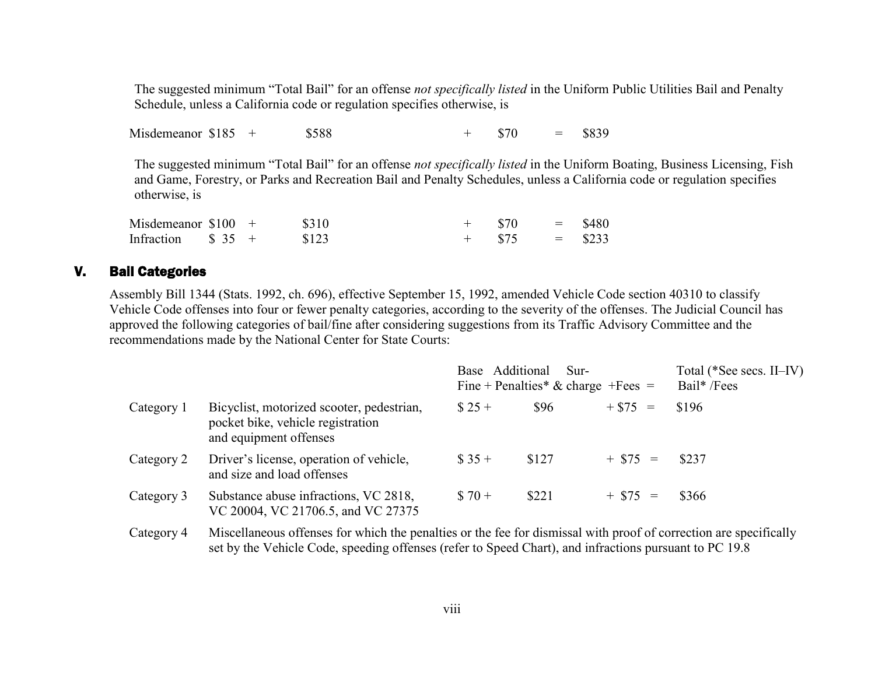The suggested minimum "Total Bail" for an offense *not specifically listed* in the Uniform Public Utilities Bail and Penalty Schedule, unless a California code or regulation specifies otherwise, is

Misdemeanor \$185 + \$588 + \$70 = \$839

The suggested minimum "Total Bail" for an offense *not specifically listed* in the Uniform Boating, Business Licensing, Fish and Game, Forestry, or Parks and Recreation Bail and Penalty Schedules, unless a California code or regulation specifies otherwise, is

| Misdemeanor $$100 +$             |  | \$310 |  | $=$       | \$480 |
|----------------------------------|--|-------|--|-----------|-------|
| Infraction $\frac{1}{2}$ \$ 35 + |  | \$123 |  | $=$ \$233 |       |

#### V. Bail Categories

Assembly Bill 1344 (Stats. 1992, ch. 696), effective September 15, 1992, amended Vehicle Code section 40310 to classify Vehicle Code offenses into four or fewer penalty categories, according to the severity of the offenses. The Judicial Council has approved the following categories of bail/fine after considering suggestions from its Traffic Advisory Committee and the recommendations made by the National Center for State Courts:

|            |                                                                                                          | Base Additional | Sur-<br>Fine + Penalties* & charge + Fees = | Total (*See secs. II–IV)<br>Bail* /Fees |       |  |
|------------|----------------------------------------------------------------------------------------------------------|-----------------|---------------------------------------------|-----------------------------------------|-------|--|
| Category 1 | Bicyclist, motorized scooter, pedestrian,<br>pocket bike, vehicle registration<br>and equipment offenses | $$25+$          | \$96                                        | $+ $75 =$                               | \$196 |  |
| Category 2 | Driver's license, operation of vehicle,<br>and size and load offenses                                    | $\$35+$         | \$127                                       | $+$ \$75 =                              | \$237 |  |
| Category 3 | Substance abuse infractions, VC 2818,<br>VC 20004, VC 21706.5, and VC 27375                              | $$70+$          | \$221                                       | $+$ \$75 =                              | \$366 |  |
|            | $\sim$ $\sim$ $1111$ $11$ $1100$                                                                         |                 |                                             |                                         |       |  |

Category 4 Miscellaneous offenses for which the penalties or the fee for dismissal with proof of correction are specifically set by the Vehicle Code, speeding offenses (refer to Speed Chart), and infractions pursuant to PC 19.8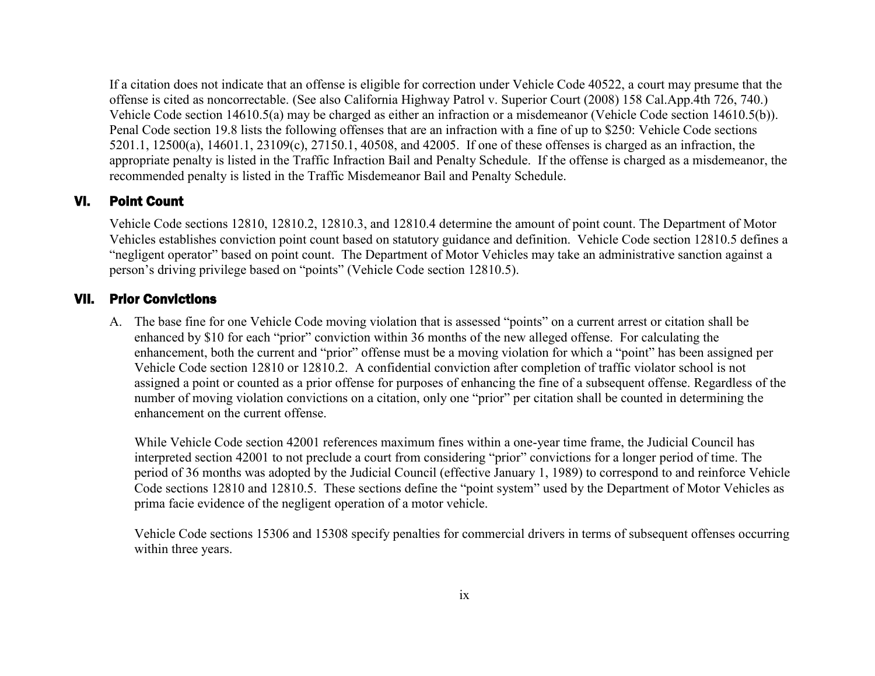If a citation does not indicate that an offense is eligible for correction under Vehicle Code 40522, a court may presume that the offense is cited as noncorrectable. (See also California Highway Patrol v. Superior Court (2008) 158 Cal.App.4th 726, 740.) Vehicle Code section 14610.5(a) may be charged as either an infraction or a misdemeanor (Vehicle Code section 14610.5(b)). Penal Code section 19.8 lists the following offenses that are an infraction with a fine of up to \$250: Vehicle Code sections 5201.1, 12500(a), 14601.1, 23109(c), 27150.1, 40508, and 42005. If one of these offenses is charged as an infraction, the appropriate penalty is listed in the Traffic Infraction Bail and Penalty Schedule. If the offense is charged as a misdemeanor, the recommended penalty is listed in the Traffic Misdemeanor Bail and Penalty Schedule.

## VI. Point Count

Vehicle Code sections 12810, 12810.2, 12810.3, and 12810.4 determine the amount of point count. The Department of Motor Vehicles establishes conviction point count based on statutory guidance and definition. Vehicle Code section 12810.5 defines a "negligent operator" based on point count. The Department of Motor Vehicles may take an administrative sanction against a person's driving privilege based on "points" (Vehicle Code section 12810.5).

#### VII. Prior Convictions

A. The base fine for one Vehicle Code moving violation that is assessed "points" on a current arrest or citation shall be enhanced by \$10 for each "prior" conviction within 36 months of the new alleged offense. For calculating the enhancement, both the current and "prior" offense must be a moving violation for which a "point" has been assigned per Vehicle Code section 12810 or 12810.2. A confidential conviction after completion of traffic violator school is not assigned a point or counted as a prior offense for purposes of enhancing the fine of a subsequent offense. Regardless of the number of moving violation convictions on a citation, only one "prior" per citation shall be counted in determining the enhancement on the current offense.

While Vehicle Code section 42001 references maximum fines within a one-year time frame, the Judicial Council has interpreted section 42001 to not preclude a court from considering "prior" convictions for a longer period of time. The period of 36 months was adopted by the Judicial Council (effective January 1, 1989) to correspond to and reinforce Vehicle Code sections 12810 and 12810.5. These sections define the "point system" used by the Department of Motor Vehicles as prima facie evidence of the negligent operation of a motor vehicle.

Vehicle Code sections 15306 and 15308 specify penalties for commercial drivers in terms of subsequent offenses occurring within three years.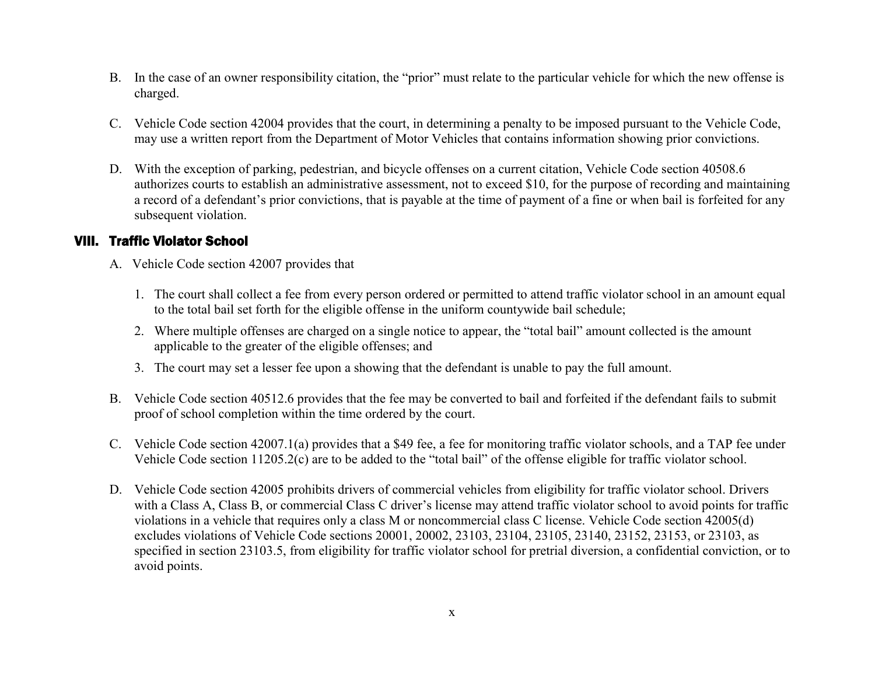- B. In the case of an owner responsibility citation, the "prior" must relate to the particular vehicle for which the new offense is charged.
- C. Vehicle Code section 42004 provides that the court, in determining a penalty to be imposed pursuant to the Vehicle Code, may use a written report from the Department of Motor Vehicles that contains information showing prior convictions.
- D. With the exception of parking, pedestrian, and bicycle offenses on a current citation, Vehicle Code section 40508.6 authorizes courts to establish an administrative assessment, not to exceed \$10, for the purpose of recording and maintaining a record of a defendant's prior convictions, that is payable at the time of payment of a fine or when bail is forfeited for any subsequent violation.

## VIII. Traffic Violator School

- A. Vehicle Code section 42007 provides that
	- 1. The court shall collect a fee from every person ordered or permitted to attend traffic violator school in an amount equal to the total bail set forth for the eligible offense in the uniform countywide bail schedule;
	- 2. Where multiple offenses are charged on a single notice to appear, the "total bail" amount collected is the amount applicable to the greater of the eligible offenses; and
	- 3. The court may set a lesser fee upon a showing that the defendant is unable to pay the full amount.
- B. Vehicle Code section 40512.6 provides that the fee may be converted to bail and forfeited if the defendant fails to submit proof of school completion within the time ordered by the court.
- C. Vehicle Code section 42007.1(a) provides that a \$49 fee, a fee for monitoring traffic violator schools, and a TAP fee under Vehicle Code section 11205.2(c) are to be added to the "total bail" of the offense eligible for traffic violator school.
- D. Vehicle Code section 42005 prohibits drivers of commercial vehicles from eligibility for traffic violator school. Drivers with a Class A, Class B, or commercial Class C driver's license may attend traffic violator school to avoid points for traffic violations in a vehicle that requires only a class M or noncommercial class C license. Vehicle Code section 42005(d) excludes violations of Vehicle Code sections 20001, 20002, 23103, 23104, 23105, 23140, 23152, 23153, or 23103, as specified in section 23103.5, from eligibility for traffic violator school for pretrial diversion, a confidential conviction, or to avoid points.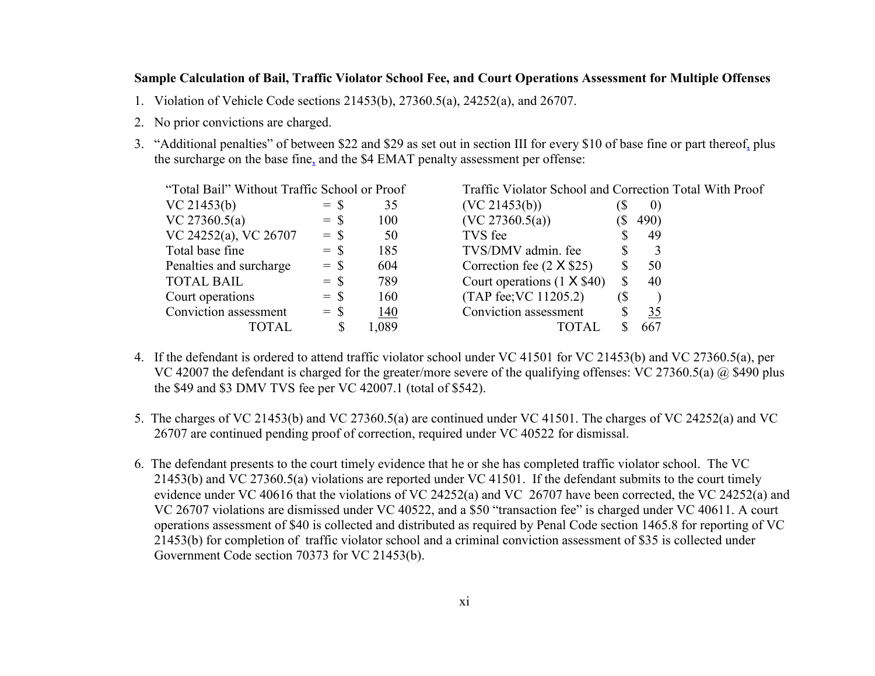#### **Sample Calculation of Bail, Traffic Violator School Fee, and Court Operations Assessment for Multiple Offenses**

- 1. Violation of Vehicle Code sections 21453(b), 27360.5(a), 24252(a), and 26707.
- 2. No prior convictions are charged.
- 3. "Additional penalties" of between \$22 and \$29 as set out in section III for every \$10 of base fine or part thereof, plus the surcharge on the base fine, and the \$4 EMAT penalty assessment per offense:

| "Total Bail" Without Traffic School or Proof |        |       | Traffic Violator School and Correction Total With Proof |     |                   |
|----------------------------------------------|--------|-------|---------------------------------------------------------|-----|-------------------|
| VC 21453(b)                                  | $=$ \$ | 35    | (VC 21453(b))                                           |     | $\left( 0\right)$ |
| VC 27360.5(a)                                | $=$ S  | 100   | (VC 27360.5(a))                                         |     | 490)              |
| VC 24252(a), VC 26707                        | $=$ \$ | 50    | TVS fee                                                 |     | 49                |
| Total base fine                              | $=$ \$ | 185   | TVS/DMV admin. fee                                      |     |                   |
| Penalties and surcharge                      | $=$ \$ | 604   | Correction fee $(2 \times $25)$                         |     | 50                |
| <b>TOTAL BAIL</b>                            | $=$ \$ | 789   | Court operations $(1 \times $40)$                       |     | 40                |
| Court operations                             | $=$ \$ | 160   | (TAP fee; VC 11205.2)                                   | (\$ |                   |
| Conviction assessment                        | $=$ \$ | 140   | Conviction assessment                                   |     | 35                |
| TOTAL                                        |        | 1,089 | TOTAL                                                   |     | 667               |

- 4. If the defendant is ordered to attend traffic violator school under VC 41501 for VC 21453(b) and VC 27360.5(a), per VC 42007 the defendant is charged for the greater/more severe of the qualifying offenses: VC 27360.5(a) @ \$490 plus the \$49 and \$3 DMV TVS fee per VC 42007.1 (total of \$542).
- 5. The charges of VC 21453(b) and VC 27360.5(a) are continued under VC 41501. The charges of VC 24252(a) and VC 26707 are continued pending proof of correction, required under VC 40522 for dismissal.
- 6. The defendant presents to the court timely evidence that he or she has completed traffic violator school. The VC 21453(b) and VC 27360.5(a) violations are reported under VC 41501. If the defendant submits to the court timely evidence under VC 40616 that the violations of VC 24252(a) and VC 26707 have been corrected, the VC 24252(a) and VC 26707 violations are dismissed under VC 40522, and a \$50 "transaction fee" is charged under VC 40611. A court operations assessment of \$40 is collected and distributed as required by Penal Code section 1465.8 for reporting of VC 21453(b) for completion of traffic violator school and a criminal conviction assessment of \$35 is collected under Government Code section 70373 for VC 21453(b).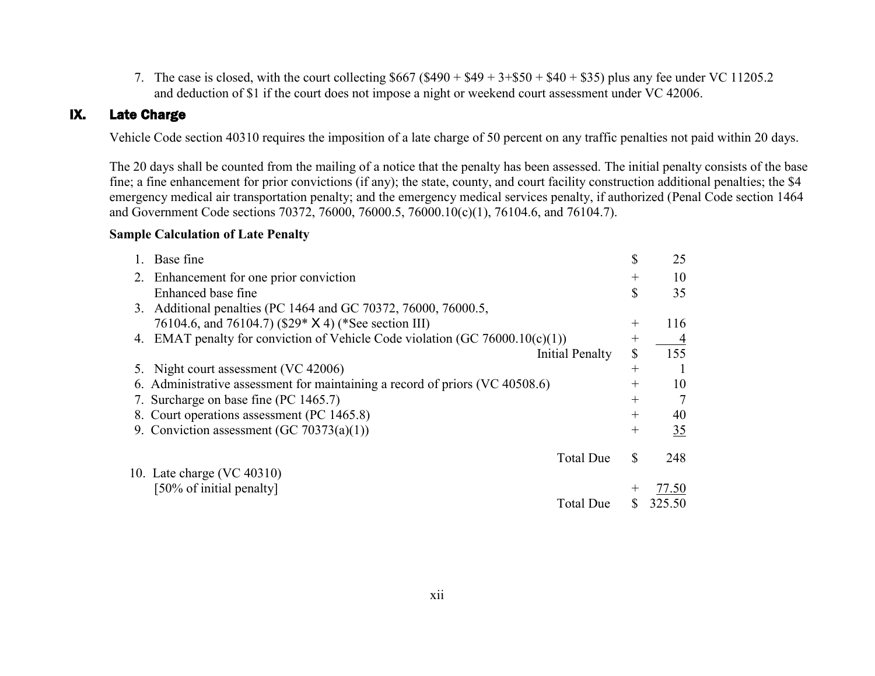7. The case is closed, with the court collecting  $$667 ($490 + $49 + 3+ $50 + $40 + $35)$  plus any fee under VC 11205.2 and deduction of \$1 if the court does not impose a night or weekend court assessment under VC 42006.

## IX. Late Charge

Vehicle Code section 40310 requires the imposition of a late charge of 50 percent on any traffic penalties not paid within 20 days.

The 20 days shall be counted from the mailing of a notice that the penalty has been assessed. The initial penalty consists of the base fine; a fine enhancement for prior convictions (if any); the state, county, and court facility construction additional penalties; the \$4 emergency medical air transportation penalty; and the emergency medical services penalty, if authorized (Penal Code section 1464 and Government Code sections 70372, 76000, 76000.5, 76000.10(c)(1), 76104.6, and 76104.7).

#### **Sample Calculation of Late Penalty**

|    | Base fine                                                                 | \$     | 25     |
|----|---------------------------------------------------------------------------|--------|--------|
| 2. | Enhancement for one prior conviction                                      | $^{+}$ | 10     |
|    | Enhanced base fine                                                        | \$     | 35     |
| 3. | Additional penalties (PC 1464 and GC 70372, 76000, 76000.5,               |        |        |
|    | 76104.6, and 76104.7) (\$29* X 4) (*See section III)                      | $^{+}$ | 116    |
| 4. | EMAT penalty for conviction of Vehicle Code violation (GC 76000.10(c)(1)) | $^{+}$ |        |
|    | Initial Penalty                                                           | S      | 155    |
|    | Night court assessment (VC 42006)                                         | $^{+}$ |        |
|    | Administrative assessment for maintaining a record of priors (VC 40508.6) | $^{+}$ | 10     |
|    | 7. Surcharge on base fine (PC 1465.7)                                     | $^{+}$ | 7      |
|    | 8. Court operations assessment (PC 1465.8)                                | $^{+}$ | 40     |
|    | 9. Conviction assessment (GC 70373(a)(1))                                 | $^{+}$ | 35     |
|    |                                                                           |        |        |
|    | <b>Total Due</b>                                                          | S      | 248    |
|    | 10. Late charge (VC 40310)                                                |        |        |
|    | [50% of initial penalty]                                                  |        | 77.50  |
|    | Total Due                                                                 |        | 325.50 |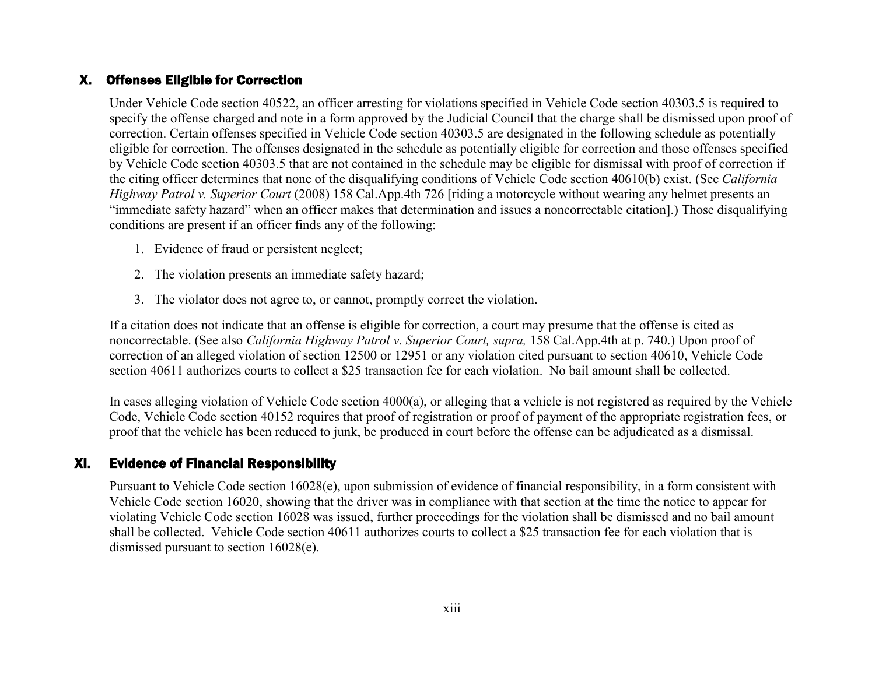## X. Offenses Eligible for Correction

Under Vehicle Code section 40522, an officer arresting for violations specified in Vehicle Code section 40303.5 is required to specify the offense charged and note in a form approved by the Judicial Council that the charge shall be dismissed upon proof of correction. Certain offenses specified in Vehicle Code section 40303.5 are designated in the following schedule as potentially eligible for correction. The offenses designated in the schedule as potentially eligible for correction and those offenses specified by Vehicle Code section 40303.5 that are not contained in the schedule may be eligible for dismissal with proof of correction if the citing officer determines that none of the disqualifying conditions of Vehicle Code section 40610(b) exist. (See *California Highway Patrol v. Superior Court* (2008) 158 Cal.App.4th 726 [riding a motorcycle without wearing any helmet presents an "immediate safety hazard" when an officer makes that determination and issues a noncorrectable citation].) Those disqualifying conditions are present if an officer finds any of the following:

- 1. Evidence of fraud or persistent neglect;
- 2. The violation presents an immediate safety hazard;
- 3. The violator does not agree to, or cannot, promptly correct the violation.

If a citation does not indicate that an offense is eligible for correction, a court may presume that the offense is cited as noncorrectable. (See also *California Highway Patrol v. Superior Court, supra,* 158 Cal.App.4th at p. 740.) Upon proof of correction of an alleged violation of section 12500 or 12951 or any violation cited pursuant to section 40610, Vehicle Code section 40611 authorizes courts to collect a \$25 transaction fee for each violation. No bail amount shall be collected.

In cases alleging violation of Vehicle Code section 4000(a), or alleging that a vehicle is not registered as required by the Vehicle Code, Vehicle Code section 40152 requires that proof of registration or proof of payment of the appropriate registration fees, or proof that the vehicle has been reduced to junk, be produced in court before the offense can be adjudicated as a dismissal.

## XI. Evidence of Financial Responsibility

Pursuant to Vehicle Code section 16028(e), upon submission of evidence of financial responsibility, in a form consistent with Vehicle Code section 16020, showing that the driver was in compliance with that section at the time the notice to appear for violating Vehicle Code section 16028 was issued, further proceedings for the violation shall be dismissed and no bail amount shall be collected. Vehicle Code section 40611 authorizes courts to collect a \$25 transaction fee for each violation that is dismissed pursuant to section 16028(e).